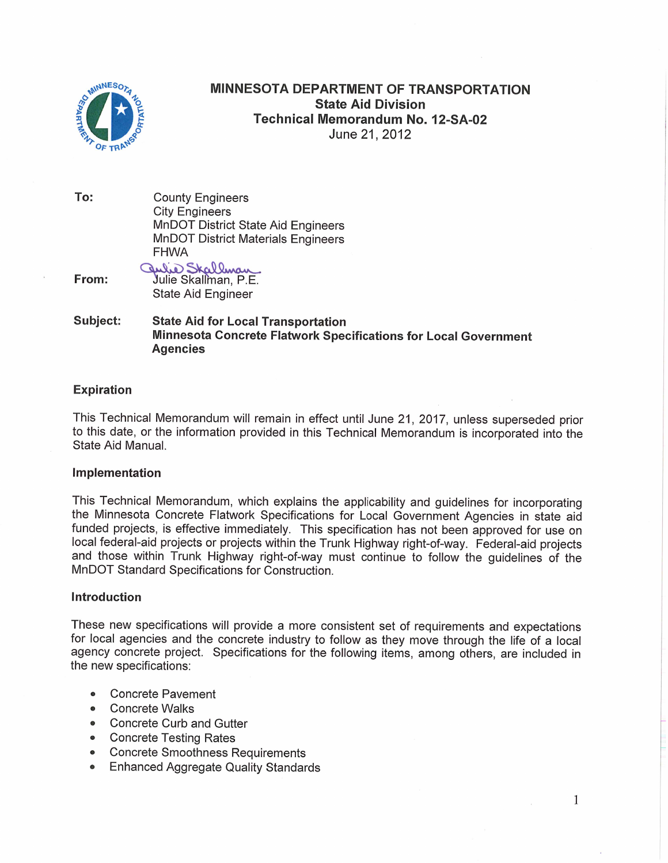

# **MINNESOTA DEPARTMENT OF TRANSPORTATION State Aid Division Technical Memorandum No. 12-SA-02** June 21, 2012

To: **County Engineers City Engineers MnDOT District State Aid Engineers MnDOT District Materials Engineers FHWA** 

aulie Skallman From: State Aid Engineer

#### Subject: **State Aid for Local Transportation** Minnesota Concrete Flatwork Specifications for Local Government **Agencies**

#### **Expiration**

This Technical Memorandum will remain in effect until June 21, 2017, unless superseded prior to this date, or the information provided in this Technical Memorandum is incorporated into the State Aid Manual.

#### Implementation

This Technical Memorandum, which explains the applicability and guidelines for incorporating the Minnesota Concrete Flatwork Specifications for Local Government Agencies in state aid funded projects, is effective immediately. This specification has not been approved for use on local federal-aid projects or projects within the Trunk Highway right-of-way. Federal-aid projects and those within Trunk Highway right-of-way must continue to follow the guidelines of the MnDOT Standard Specifications for Construction.

#### **Introduction**

These new specifications will provide a more consistent set of requirements and expectations for local agencies and the concrete industry to follow as they move through the life of a local agency concrete project. Specifications for the following items, among others, are included in the new specifications:

 $\mathbf{1}$ 

- **Concrete Pavement**
- Concrete Walks
- Concrete Curb and Gutter
- Concrete Testing Rates
- Concrete Smoothness Requirements
- **Enhanced Aggregate Quality Standards**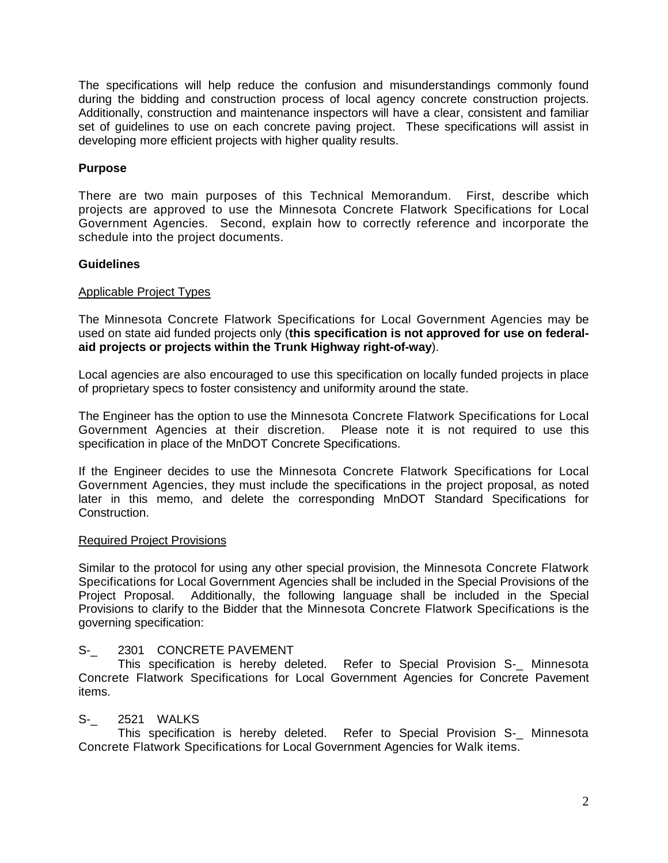The specifications will help reduce the confusion and misunderstandings commonly found during the bidding and construction process of local agency concrete construction projects. Additionally, construction and maintenance inspectors will have a clear, consistent and familiar set of guidelines to use on each concrete paving project. These specifications will assist in developing more efficient projects with higher quality results.

## **Purpose**

There are two main purposes of this Technical Memorandum. First, describe which projects are approved to use the Minnesota Concrete Flatwork Specifications for Local Government Agencies. Second, explain how to correctly reference and incorporate the schedule into the project documents.

## **Guidelines**

## Applicable Project Types

The Minnesota Concrete Flatwork Specifications for Local Government Agencies may be used on state aid funded projects only (**this specification is not approved for use on federalaid projects or projects within the Trunk Highway right-of-way**).

Local agencies are also encouraged to use this specification on locally funded projects in place of proprietary specs to foster consistency and uniformity around the state.

The Engineer has the option to use the Minnesota Concrete Flatwork Specifications for Local Government Agencies at their discretion. Please note it is not required to use this specification in place of the MnDOT Concrete Specifications.

If the Engineer decides to use the Minnesota Concrete Flatwork Specifications for Local Government Agencies, they must include the specifications in the project proposal, as noted later in this memo, and delete the corresponding MnDOT Standard Specifications for Construction.

## Required Project Provisions

Similar to the protocol for using any other special provision, the Minnesota Concrete Flatwork Specifications for Local Government Agencies shall be included in the Special Provisions of the Project Proposal. Additionally, the following language shall be included in the Special Provisions to clarify to the Bidder that the Minnesota Concrete Flatwork Specifications is the governing specification:

## S- 2301 CONCRETE PAVEMENT

This specification is hereby deleted. Refer to Special Provision S-\_ Minnesota Concrete Flatwork Specifications for Local Government Agencies for Concrete Pavement items.

## S-\_ 2521 WALKS

This specification is hereby deleted. Refer to Special Provision S-\_ Minnesota Concrete Flatwork Specifications for Local Government Agencies for Walk items.